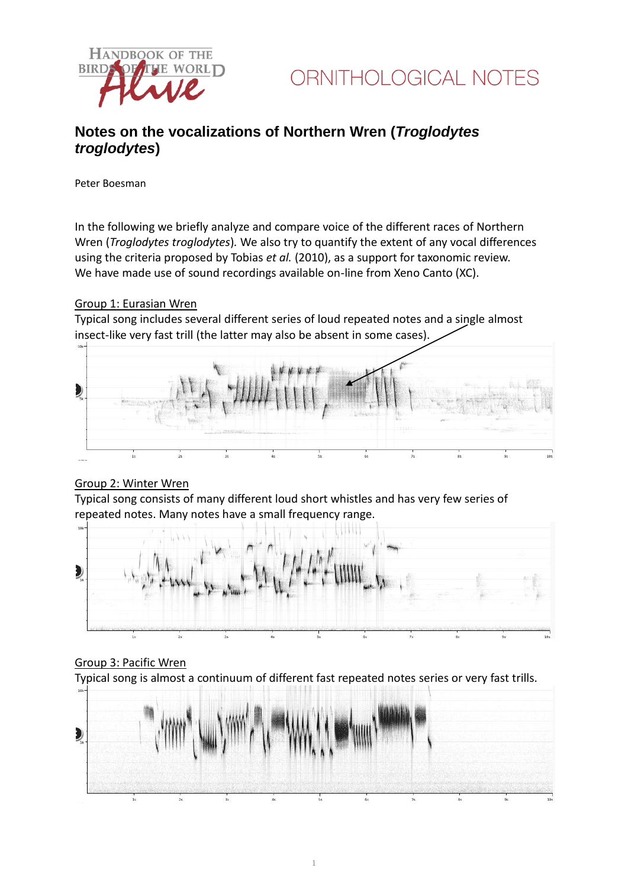

### **Notes on the vocalizations of Northern Wren (***Troglodytes troglodytes***)**

Peter Boesman

In the following we briefly analyze and compare voice of the different races of Northern Wren (*Troglodytes troglodytes*)*.* We also try to quantify the extent of any vocal differences using the criteria proposed by Tobias *et al.* (2010), as a support for taxonomic review. We have made use of sound recordings available on-line from Xeno Canto (XC).

#### Group 1: Eurasian Wren

Typical song includes several different series of loud repeated notes and a single almost insect-like very fast trill (the latter may also be absent in some cases).



### Group 2: Winter Wren

Typical song consists of many different loud short whistles and has very few series of repeated notes. Many notes have a small frequency range.



### Group 3: Pacific Wren

Typical song is almost a continuum of different fast repeated notes series or very fast trills.



1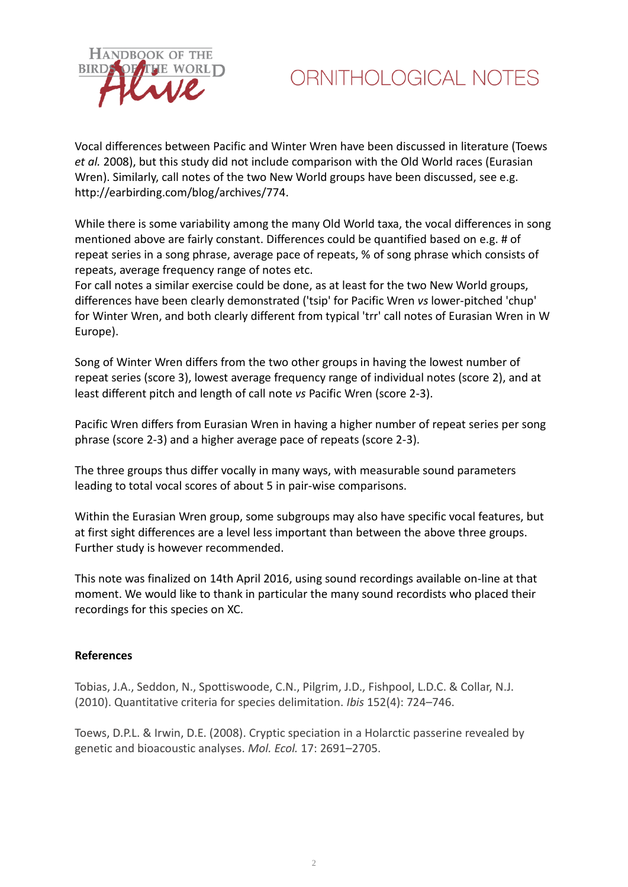

# ORNITHOLOGICAL NOTES

Vocal differences between Pacific and Winter Wren have been discussed in literature (Toews *et al.* 2008), but this study did not include comparison with the Old World races (Eurasian Wren). Similarly, call notes of the two New World groups have been discussed, see e.g. http://earbirding.com/blog/archives/774.

While there is some variability among the many Old World taxa, the vocal differences in song mentioned above are fairly constant. Differences could be quantified based on e.g. # of repeat series in a song phrase, average pace of repeats, % of song phrase which consists of repeats, average frequency range of notes etc.

For call notes a similar exercise could be done, as at least for the two New World groups, differences have been clearly demonstrated ('tsip' for Pacific Wren *vs* lower-pitched 'chup' for Winter Wren, and both clearly different from typical 'trr' call notes of Eurasian Wren in W Europe).

Song of Winter Wren differs from the two other groups in having the lowest number of repeat series (score 3), lowest average frequency range of individual notes (score 2), and at least different pitch and length of call note *vs* Pacific Wren (score 2-3).

Pacific Wren differs from Eurasian Wren in having a higher number of repeat series per song phrase (score 2-3) and a higher average pace of repeats (score 2-3).

The three groups thus differ vocally in many ways, with measurable sound parameters leading to total vocal scores of about 5 in pair-wise comparisons.

Within the Eurasian Wren group, some subgroups may also have specific vocal features, but at first sight differences are a level less important than between the above three groups. Further study is however recommended.

This note was finalized on 14th April 2016, using sound recordings available on-line at that moment. We would like to thank in particular the many sound recordists who placed their recordings for this species on XC.

#### **References**

Tobias, J.A., Seddon, N., Spottiswoode, C.N., Pilgrim, J.D., Fishpool, L.D.C. & Collar, N.J. (2010). Quantitative criteria for species delimitation. *Ibis* 152(4): 724–746.

Toews, D.P.L. & Irwin, D.E. (2008). Cryptic speciation in a Holarctic passerine revealed by genetic and bioacoustic analyses. *Mol. Ecol.* 17: 2691–2705.